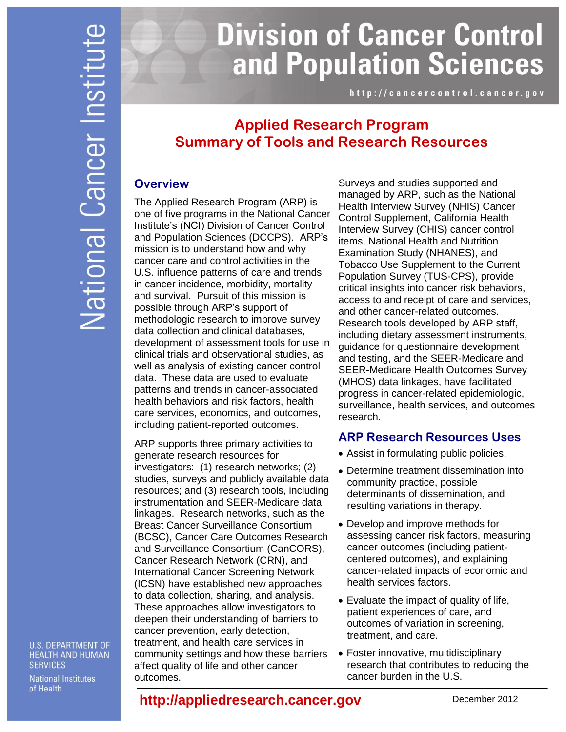# **Division of Cancer Control** and Population Sciences

http://cancercontrol.cancer.gov

# **Applied Research Program Summary of Tools and Research Resources**

### **Overview**

The Applied Research Program (ARP) is one of five programs in the National Cancer Institute's (NCI) Division of Cancer Control and Population Sciences (DCCPS). ARP's mission is to understand how and why cancer care and control activities in the U.S. influence patterns of care and trends in cancer incidence, morbidity, mortality and survival. Pursuit of this mission is possible through ARP's support of methodologic research to improve survey data collection and clinical databases, development of assessment tools for use in clinical trials and observational studies, as well as analysis of existing cancer control data. These data are used to evaluate patterns and trends in cancer-associated health behaviors and risk factors, health care services, economics, and outcomes, including patient-reported outcomes.

ARP supports three primary activities to generate research resources for investigators: (1) research networks; (2) studies, surveys and publicly available data resources; and (3) research tools, including instrumentation and SEER-Medicare data linkages. Research networks, such as the Breast Cancer Surveillance Consortium (BCSC), Cancer Care Outcomes Research and Surveillance Consortium (CanCORS), Cancer Research Network (CRN), and International Cancer Screening Network (ICSN) have established new approaches to data collection, sharing, and analysis. These approaches allow investigators to deepen their understanding of barriers to cancer prevention, early detection, treatment, and health care services in community settings and how these barriers affect quality of life and other cancer outcomes.

Surveys and studies supported and managed by ARP, such as the National Health Interview Survey (NHIS) Cancer Control Supplement, California Health Interview Survey (CHIS) cancer control items, National Health and Nutrition Examination Study (NHANES), and Tobacco Use Supplement to the Current Population Survey (TUS-CPS), provide critical insights into cancer risk behaviors, access to and receipt of care and services, and other cancer-related outcomes. Research tools developed by ARP staff, including dietary assessment instruments, guidance for questionnaire development and testing, and the SEER-Medicare and SEER-Medicare Health Outcomes Survey (MHOS) data linkages, have facilitated progress in cancer-related epidemiologic, surveillance, health services, and outcomes research.

## **ARP Research Resources Uses**

- Assist in formulating public policies.
- Determine treatment dissemination into community practice, possible determinants of dissemination, and resulting variations in therapy.
- Develop and improve methods for assessing cancer risk factors, measuring cancer outcomes (including patientcentered outcomes), and explaining cancer-related impacts of economic and health services factors.
- Evaluate the impact of quality of life, patient experiences of care, and outcomes of variation in screening, treatment, and care.
- Foster innovative, multidisciplinary research that contributes to reducing the cancer burden in the U.S.

#### **U.S. DEPARTMENT OF HEALTH AND HUMAN SERVICES**

**National Institutes** of Health